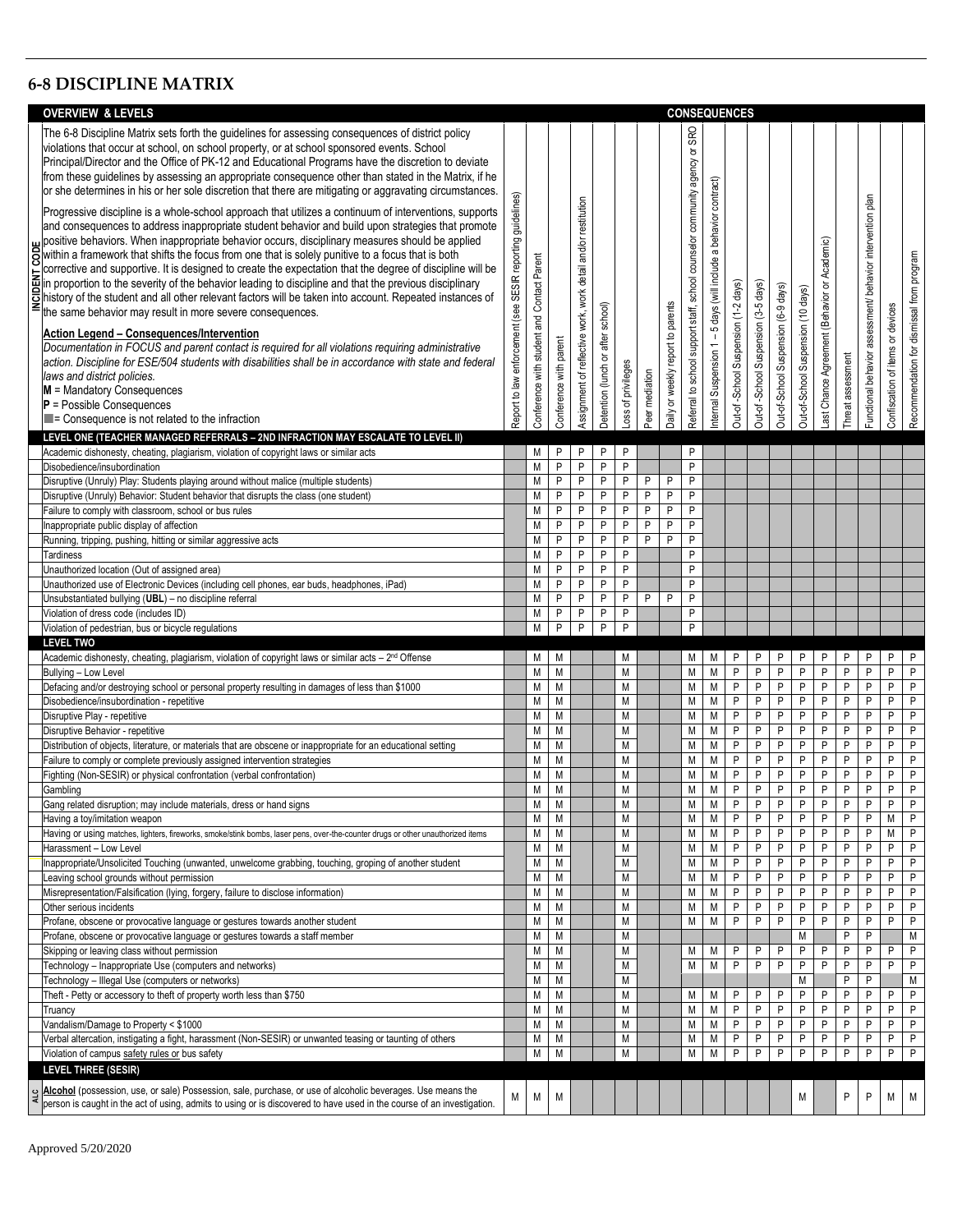## **6-8 DISCIPLINE MATRIX**

|            | <b>OVERVIEW &amp; LEVELS</b>                                                                                                                                                                                                                                                                                                                                                                                                                                                                                                                                                                                                                                                                                                                                                                                                                                                                                                                                                                                                                                                                                                                                                                                                                                                                                                                                                                                                                                                                                                                                                                                                                                                                                                                                 |                                                                  |                                            |                        |                                                               |                                      |                    |                |                                   |                                                                                                                   |                                                                   | <b>CONSEQUENCES</b>                 |                                     |                                     |                                    |                                              |                   |                                                            |                                     |                                           |
|------------|--------------------------------------------------------------------------------------------------------------------------------------------------------------------------------------------------------------------------------------------------------------------------------------------------------------------------------------------------------------------------------------------------------------------------------------------------------------------------------------------------------------------------------------------------------------------------------------------------------------------------------------------------------------------------------------------------------------------------------------------------------------------------------------------------------------------------------------------------------------------------------------------------------------------------------------------------------------------------------------------------------------------------------------------------------------------------------------------------------------------------------------------------------------------------------------------------------------------------------------------------------------------------------------------------------------------------------------------------------------------------------------------------------------------------------------------------------------------------------------------------------------------------------------------------------------------------------------------------------------------------------------------------------------------------------------------------------------------------------------------------------------|------------------------------------------------------------------|--------------------------------------------|------------------------|---------------------------------------------------------------|--------------------------------------|--------------------|----------------|-----------------------------------|-------------------------------------------------------------------------------------------------------------------|-------------------------------------------------------------------|-------------------------------------|-------------------------------------|-------------------------------------|------------------------------------|----------------------------------------------|-------------------|------------------------------------------------------------|-------------------------------------|-------------------------------------------|
|            | The 6-8 Discipline Matrix sets forth the guidelines for assessing consequences of district policy<br>violations that occur at school, on school property, or at school sponsored events. School<br>Principal/Director and the Office of PK-12 and Educational Programs have the discretion to deviate<br>from these guidelines by assessing an appropriate consequence other than stated in the Matrix, if he<br>or she determines in his or her sole discretion that there are mitigating or aggravating circumstances.<br>Progressive discipline is a whole-school approach that utilizes a continuum of interventions, supports<br>and consequences to address inappropriate student behavior and build upon strategies that promote<br>positive behaviors. When inappropriate behavior occurs, disciplinary measures should be applied<br>Solid has a framework that shifts the focus from one that is solely punitive to a focus that is both<br>corrective and quantum th<br>corrective and supportive. It is designed to create the expectation that the degree of discipline will be<br>$\Xi$ corrective and supportive. It is designed to create the expectation that the degree of discipline will be<br>in proportion to the severity of the behavior leading to discipline and that the previous disciplinary<br>bistory<br>the same behavior may result in more severe consequences.<br>Action Legend - Consequences/Intervention<br>Documentation in FOCUS and parent contact is required for all violations requiring administrative<br>action. Discipline for ESE/504 students with disabilities shall be in accordance with state and federal<br>laws and district policies.<br>$M =$ Mandatory Consequences<br>$P =$ Possible Consequences | guidelines)<br>SESIR reporting<br>Report to law enforcement (see | Conference with student and Contact Parent | Conference with parent | Assignment of reflective work, work detail and/or restitution | school)<br>Detention (lunch or after | Loss of privileges | Peer mediation | Daily or weekly report to parents | <b>SRO</b><br>$\overleftarrow{\mathtt{o}}$<br>Referral to school support staff, school counselor community agency | Internal Suspension 1 - 5 days (will include a behavior contract) | Out-of-School Suspension (1-2 days) | Out-of-School Suspension (3-5 days) | Out-of-School Suspension (6-9 days) | Out-of-School Suspension (10 days) | Last Chance Agreement (Behavior or Academic) | Threat assessment | Functional behavior assessment/ behavior intervention plan | devices<br>Confiscation of items or | Recommendation for dismissal from program |
|            | $\blacksquare$ = Consequence is not related to the infraction                                                                                                                                                                                                                                                                                                                                                                                                                                                                                                                                                                                                                                                                                                                                                                                                                                                                                                                                                                                                                                                                                                                                                                                                                                                                                                                                                                                                                                                                                                                                                                                                                                                                                                |                                                                  |                                            |                        |                                                               |                                      |                    |                |                                   |                                                                                                                   |                                                                   |                                     |                                     |                                     |                                    |                                              |                   |                                                            |                                     |                                           |
|            | LEVEL ONE (TEACHER MANAGED REFERRALS - 2ND INFRACTION MAY ESCALATE TO LEVEL II)                                                                                                                                                                                                                                                                                                                                                                                                                                                                                                                                                                                                                                                                                                                                                                                                                                                                                                                                                                                                                                                                                                                                                                                                                                                                                                                                                                                                                                                                                                                                                                                                                                                                              |                                                                  |                                            |                        |                                                               |                                      |                    |                |                                   |                                                                                                                   |                                                                   |                                     |                                     |                                     |                                    |                                              |                   |                                                            |                                     |                                           |
|            | Academic dishonesty, cheating, plagiarism, violation of copyright laws or similar acts<br>Disobedience/insubordination                                                                                                                                                                                                                                                                                                                                                                                                                                                                                                                                                                                                                                                                                                                                                                                                                                                                                                                                                                                                                                                                                                                                                                                                                                                                                                                                                                                                                                                                                                                                                                                                                                       |                                                                  | M<br>M                                     | P<br>P                 | P<br>P                                                        | P<br>P                               | P<br>P             |                |                                   | P<br>P                                                                                                            |                                                                   |                                     |                                     |                                     |                                    |                                              |                   |                                                            |                                     |                                           |
|            | Disruptive (Unruly) Play: Students playing around without malice (multiple students)                                                                                                                                                                                                                                                                                                                                                                                                                                                                                                                                                                                                                                                                                                                                                                                                                                                                                                                                                                                                                                                                                                                                                                                                                                                                                                                                                                                                                                                                                                                                                                                                                                                                         |                                                                  | M                                          | $\sf P$                | P                                                             | P                                    | P                  | P              | $\mathsf{P}$                      | P                                                                                                                 |                                                                   |                                     |                                     |                                     |                                    |                                              |                   |                                                            |                                     |                                           |
|            | Disruptive (Unruly) Behavior: Student behavior that disrupts the class (one student)                                                                                                                                                                                                                                                                                                                                                                                                                                                                                                                                                                                                                                                                                                                                                                                                                                                                                                                                                                                                                                                                                                                                                                                                                                                                                                                                                                                                                                                                                                                                                                                                                                                                         |                                                                  | M                                          | P                      | P                                                             | P                                    | P                  | P              | $\mathsf{P}$                      | P                                                                                                                 |                                                                   |                                     |                                     |                                     |                                    |                                              |                   |                                                            |                                     |                                           |
|            | Failure to comply with classroom, school or bus rules<br>Inappropriate public display of affection                                                                                                                                                                                                                                                                                                                                                                                                                                                                                                                                                                                                                                                                                                                                                                                                                                                                                                                                                                                                                                                                                                                                                                                                                                                                                                                                                                                                                                                                                                                                                                                                                                                           |                                                                  | M<br>M                                     | P<br>P                 | P<br>P                                                        | P<br>P                               | P<br>P             | P<br>P         | P<br>$\sf P$                      | P<br>P                                                                                                            |                                                                   |                                     |                                     |                                     |                                    |                                              |                   |                                                            |                                     |                                           |
|            | Running, tripping, pushing, hitting or similar aggressive acts                                                                                                                                                                                                                                                                                                                                                                                                                                                                                                                                                                                                                                                                                                                                                                                                                                                                                                                                                                                                                                                                                                                                                                                                                                                                                                                                                                                                                                                                                                                                                                                                                                                                                               |                                                                  | M                                          | P                      | P                                                             | P                                    | P                  | P              | P                                 | P                                                                                                                 |                                                                   |                                     |                                     |                                     |                                    |                                              |                   |                                                            |                                     |                                           |
|            | Tardiness                                                                                                                                                                                                                                                                                                                                                                                                                                                                                                                                                                                                                                                                                                                                                                                                                                                                                                                                                                                                                                                                                                                                                                                                                                                                                                                                                                                                                                                                                                                                                                                                                                                                                                                                                    |                                                                  | M                                          | P                      | P                                                             | P                                    | P                  |                |                                   | P                                                                                                                 |                                                                   |                                     |                                     |                                     |                                    |                                              |                   |                                                            |                                     |                                           |
|            | Unauthorized location (Out of assigned area)                                                                                                                                                                                                                                                                                                                                                                                                                                                                                                                                                                                                                                                                                                                                                                                                                                                                                                                                                                                                                                                                                                                                                                                                                                                                                                                                                                                                                                                                                                                                                                                                                                                                                                                 |                                                                  | M                                          | P                      | P                                                             | P                                    | P                  |                |                                   | P                                                                                                                 |                                                                   |                                     |                                     |                                     |                                    |                                              |                   |                                                            |                                     |                                           |
|            | Unauthorized use of Electronic Devices (including cell phones, ear buds, headphones, iPad)                                                                                                                                                                                                                                                                                                                                                                                                                                                                                                                                                                                                                                                                                                                                                                                                                                                                                                                                                                                                                                                                                                                                                                                                                                                                                                                                                                                                                                                                                                                                                                                                                                                                   |                                                                  | M                                          | P                      | P                                                             | P                                    | P                  |                |                                   | P                                                                                                                 |                                                                   |                                     |                                     |                                     |                                    |                                              |                   |                                                            |                                     |                                           |
|            | Unsubstantiated bullying (UBL) - no discipline referral<br>Violation of dress code (includes ID)                                                                                                                                                                                                                                                                                                                                                                                                                                                                                                                                                                                                                                                                                                                                                                                                                                                                                                                                                                                                                                                                                                                                                                                                                                                                                                                                                                                                                                                                                                                                                                                                                                                             |                                                                  | M<br>M                                     | P<br>P                 | P<br>P                                                        | P<br>P                               | P<br>P             | P              | P                                 | P<br>P                                                                                                            |                                                                   |                                     |                                     |                                     |                                    |                                              |                   |                                                            |                                     |                                           |
|            | Violation of pedestrian, bus or bicycle regulations                                                                                                                                                                                                                                                                                                                                                                                                                                                                                                                                                                                                                                                                                                                                                                                                                                                                                                                                                                                                                                                                                                                                                                                                                                                                                                                                                                                                                                                                                                                                                                                                                                                                                                          |                                                                  | M                                          | P                      | $\overline{P}$                                                | $\overline{P}$                       | P                  |                |                                   | $\mathsf{P}$                                                                                                      |                                                                   |                                     |                                     |                                     |                                    |                                              |                   |                                                            |                                     |                                           |
|            | <b>LEVEL TWO</b>                                                                                                                                                                                                                                                                                                                                                                                                                                                                                                                                                                                                                                                                                                                                                                                                                                                                                                                                                                                                                                                                                                                                                                                                                                                                                                                                                                                                                                                                                                                                                                                                                                                                                                                                             |                                                                  |                                            |                        |                                                               |                                      |                    |                |                                   |                                                                                                                   |                                                                   |                                     |                                     |                                     |                                    |                                              |                   |                                                            |                                     |                                           |
|            | Academic dishonesty, cheating, plagiarism, violation of copyright laws or similar acts $-2nd$ Offense                                                                                                                                                                                                                                                                                                                                                                                                                                                                                                                                                                                                                                                                                                                                                                                                                                                                                                                                                                                                                                                                                                                                                                                                                                                                                                                                                                                                                                                                                                                                                                                                                                                        |                                                                  | М                                          | М                      |                                                               |                                      | M                  |                |                                   | М                                                                                                                 | M                                                                 | P                                   | P                                   | P                                   | P                                  | P                                            | P                 | P                                                          | P                                   | P                                         |
|            | Bullying - Low Level<br>Defacing and/or destroying school or personal property resulting in damages of less than \$1000                                                                                                                                                                                                                                                                                                                                                                                                                                                                                                                                                                                                                                                                                                                                                                                                                                                                                                                                                                                                                                                                                                                                                                                                                                                                                                                                                                                                                                                                                                                                                                                                                                      |                                                                  | M<br>M                                     | M<br>M                 |                                                               |                                      | M<br>M             |                |                                   | M<br>M                                                                                                            | M<br>M                                                            | P<br>P                              | P<br>P                              | P<br>P                              | P<br>P                             | P<br>P                                       | P<br>P            | P<br>P                                                     | P<br>P                              | P<br>P                                    |
|            | Disobedience/insubordination - repetitive                                                                                                                                                                                                                                                                                                                                                                                                                                                                                                                                                                                                                                                                                                                                                                                                                                                                                                                                                                                                                                                                                                                                                                                                                                                                                                                                                                                                                                                                                                                                                                                                                                                                                                                    |                                                                  | M                                          | M                      |                                                               |                                      | M                  |                |                                   | M                                                                                                                 | M                                                                 | P                                   | P                                   | P                                   | P                                  | P                                            | P                 | P                                                          | P                                   | P                                         |
|            | Disruptive Play - repetitive                                                                                                                                                                                                                                                                                                                                                                                                                                                                                                                                                                                                                                                                                                                                                                                                                                                                                                                                                                                                                                                                                                                                                                                                                                                                                                                                                                                                                                                                                                                                                                                                                                                                                                                                 |                                                                  | M                                          | M                      |                                                               |                                      | M                  |                |                                   | M                                                                                                                 | M                                                                 | P                                   | P                                   | P                                   | P                                  | $\mathsf{P}$                                 | P                 | $\overline{P}$                                             | P                                   | P                                         |
|            | Disruptive Behavior - repetitive                                                                                                                                                                                                                                                                                                                                                                                                                                                                                                                                                                                                                                                                                                                                                                                                                                                                                                                                                                                                                                                                                                                                                                                                                                                                                                                                                                                                                                                                                                                                                                                                                                                                                                                             |                                                                  | M                                          | М                      |                                                               |                                      | M                  |                |                                   | M                                                                                                                 | М                                                                 | P                                   | P                                   | $\mathsf{P}$                        | P                                  | $\sf P$                                      | P                 | P                                                          | P                                   | P                                         |
|            | Distribution of objects, literature, or materials that are obscene or inappropriate for an educational setting<br>Failure to comply or complete previously assigned intervention strategies                                                                                                                                                                                                                                                                                                                                                                                                                                                                                                                                                                                                                                                                                                                                                                                                                                                                                                                                                                                                                                                                                                                                                                                                                                                                                                                                                                                                                                                                                                                                                                  |                                                                  | M<br>М                                     | M<br>M                 |                                                               |                                      | M<br>M             |                |                                   | M<br>Μ                                                                                                            | M<br>M                                                            | P<br>P                              | P<br>P                              | P<br>P                              | P<br>P                             | P<br>$\mathsf{P}$                            | P<br>$\sf P$      | P<br>P                                                     | P<br>P                              | P<br>P                                    |
|            | Fighting (Non-SESIR) or physical confrontation (verbal confrontation)                                                                                                                                                                                                                                                                                                                                                                                                                                                                                                                                                                                                                                                                                                                                                                                                                                                                                                                                                                                                                                                                                                                                                                                                                                                                                                                                                                                                                                                                                                                                                                                                                                                                                        |                                                                  | M                                          | M                      |                                                               |                                      | M                  |                |                                   | М                                                                                                                 | M                                                                 | P                                   | P                                   | P                                   | P                                  | P                                            | P                 | P                                                          | P                                   | P                                         |
|            | Gambling                                                                                                                                                                                                                                                                                                                                                                                                                                                                                                                                                                                                                                                                                                                                                                                                                                                                                                                                                                                                                                                                                                                                                                                                                                                                                                                                                                                                                                                                                                                                                                                                                                                                                                                                                     |                                                                  | M                                          | M                      |                                                               |                                      | M                  |                |                                   | М                                                                                                                 | M                                                                 | P                                   | P                                   | P                                   | P                                  | P                                            | P                 | P                                                          | P                                   | P                                         |
|            | Gang related disruption; may include materials, dress or hand signs                                                                                                                                                                                                                                                                                                                                                                                                                                                                                                                                                                                                                                                                                                                                                                                                                                                                                                                                                                                                                                                                                                                                                                                                                                                                                                                                                                                                                                                                                                                                                                                                                                                                                          |                                                                  | М                                          | М                      |                                                               |                                      | M                  |                |                                   | М                                                                                                                 | M                                                                 | P                                   | P                                   | P                                   | P                                  | P                                            | P                 | P                                                          | Ρ                                   | P                                         |
|            | Having a toy/imitation weapon<br>Having or using matches, lighters, fireworks, smoke/stink bombs, laser pens, over-the-counter drugs or other unauthorized items                                                                                                                                                                                                                                                                                                                                                                                                                                                                                                                                                                                                                                                                                                                                                                                                                                                                                                                                                                                                                                                                                                                                                                                                                                                                                                                                                                                                                                                                                                                                                                                             |                                                                  | M<br>M                                     | M<br>М                 |                                                               |                                      | M<br>M             |                |                                   | М<br>М                                                                                                            | M<br>М                                                            | P<br>P                              | P<br>P                              | P<br>P                              | P<br>P                             | P<br>P                                       | P<br>P            | P<br>P                                                     | Μ<br>М                              | P<br>P                                    |
|            | Harassment - Low Level                                                                                                                                                                                                                                                                                                                                                                                                                                                                                                                                                                                                                                                                                                                                                                                                                                                                                                                                                                                                                                                                                                                                                                                                                                                                                                                                                                                                                                                                                                                                                                                                                                                                                                                                       |                                                                  | M                                          | M                      |                                                               |                                      | M                  |                |                                   | Μ                                                                                                                 | M                                                                 | P                                   | P                                   | $\sf P$                             | P                                  | P                                            | P                 | P                                                          | Ρ                                   | P                                         |
|            | Inappropriate/Unsolicited Touching (unwanted, unwelcome grabbing, touching, groping of another student                                                                                                                                                                                                                                                                                                                                                                                                                                                                                                                                                                                                                                                                                                                                                                                                                                                                                                                                                                                                                                                                                                                                                                                                                                                                                                                                                                                                                                                                                                                                                                                                                                                       |                                                                  | M                                          | M                      |                                                               |                                      | М                  |                |                                   | Μ                                                                                                                 | М                                                                 | P                                   | P                                   | P                                   | P                                  | P                                            | P                 | P                                                          | Ρ                                   | P                                         |
|            | Leaving school grounds without permission                                                                                                                                                                                                                                                                                                                                                                                                                                                                                                                                                                                                                                                                                                                                                                                                                                                                                                                                                                                                                                                                                                                                                                                                                                                                                                                                                                                                                                                                                                                                                                                                                                                                                                                    |                                                                  | M                                          | M                      |                                                               |                                      | M                  |                |                                   | Μ                                                                                                                 | M                                                                 | P                                   | P                                   | P                                   | P                                  | P                                            | $\sf P$           | P                                                          | P                                   | P                                         |
|            | Misrepresentation/Falsification (lying, forgery, failure to disclose information)<br>Other serious incidents                                                                                                                                                                                                                                                                                                                                                                                                                                                                                                                                                                                                                                                                                                                                                                                                                                                                                                                                                                                                                                                                                                                                                                                                                                                                                                                                                                                                                                                                                                                                                                                                                                                 |                                                                  | M<br>M                                     | M<br>M                 |                                                               |                                      | M<br>M             |                |                                   | M<br>M                                                                                                            | M<br>M                                                            | P<br>P                              | P<br>P                              | P<br>P                              | P<br>P                             | P<br>P                                       | P<br>$\sf P$      | P<br>P                                                     | P<br>P                              | P<br>P                                    |
|            | Profane, obscene or provocative language or gestures towards another student                                                                                                                                                                                                                                                                                                                                                                                                                                                                                                                                                                                                                                                                                                                                                                                                                                                                                                                                                                                                                                                                                                                                                                                                                                                                                                                                                                                                                                                                                                                                                                                                                                                                                 |                                                                  | M                                          | M                      |                                                               |                                      | M                  |                |                                   | М                                                                                                                 | M                                                                 | P                                   | P                                   | $\sf P$                             | P                                  | P                                            | P                 | P                                                          | P                                   | P                                         |
|            | Profane, obscene or provocative language or gestures towards a staff member                                                                                                                                                                                                                                                                                                                                                                                                                                                                                                                                                                                                                                                                                                                                                                                                                                                                                                                                                                                                                                                                                                                                                                                                                                                                                                                                                                                                                                                                                                                                                                                                                                                                                  |                                                                  | M                                          | M                      |                                                               |                                      | М                  |                |                                   |                                                                                                                   |                                                                   |                                     |                                     |                                     | M                                  |                                              | P                 | P                                                          |                                     | М                                         |
|            | Skipping or leaving class without permission                                                                                                                                                                                                                                                                                                                                                                                                                                                                                                                                                                                                                                                                                                                                                                                                                                                                                                                                                                                                                                                                                                                                                                                                                                                                                                                                                                                                                                                                                                                                                                                                                                                                                                                 |                                                                  | М                                          | M                      |                                                               |                                      | M                  |                |                                   | М                                                                                                                 | M                                                                 | P                                   | P                                   | P                                   | P                                  | P                                            | $\sf P$           | P                                                          | P                                   | P                                         |
|            | Technology - Inappropriate Use (computers and networks)<br>Technology - Illegal Use (computers or networks)                                                                                                                                                                                                                                                                                                                                                                                                                                                                                                                                                                                                                                                                                                                                                                                                                                                                                                                                                                                                                                                                                                                                                                                                                                                                                                                                                                                                                                                                                                                                                                                                                                                  |                                                                  | M<br>М                                     | M<br>M                 |                                                               |                                      | M<br>M             |                |                                   | М                                                                                                                 | M                                                                 | P                                   | P                                   | P                                   | P<br>M                             | P                                            | P<br>P            | P<br>P                                                     | P                                   | P<br>М                                    |
|            | Theft - Petty or accessory to theft of property worth less than \$750                                                                                                                                                                                                                                                                                                                                                                                                                                                                                                                                                                                                                                                                                                                                                                                                                                                                                                                                                                                                                                                                                                                                                                                                                                                                                                                                                                                                                                                                                                                                                                                                                                                                                        |                                                                  | M                                          | M                      |                                                               |                                      | M                  |                |                                   | М                                                                                                                 | M                                                                 | P                                   | P                                   | P                                   | P                                  | P                                            | P                 | $\overline{P}$                                             | Ρ                                   | P                                         |
|            | Truancy                                                                                                                                                                                                                                                                                                                                                                                                                                                                                                                                                                                                                                                                                                                                                                                                                                                                                                                                                                                                                                                                                                                                                                                                                                                                                                                                                                                                                                                                                                                                                                                                                                                                                                                                                      |                                                                  | M                                          | M                      |                                                               |                                      | M                  |                |                                   | М                                                                                                                 | M                                                                 | P                                   | P                                   | P                                   | P                                  | P                                            | P                 | P                                                          | P                                   | P                                         |
|            | Vandalism/Damage to Property < \$1000                                                                                                                                                                                                                                                                                                                                                                                                                                                                                                                                                                                                                                                                                                                                                                                                                                                                                                                                                                                                                                                                                                                                                                                                                                                                                                                                                                                                                                                                                                                                                                                                                                                                                                                        |                                                                  | M                                          | M                      |                                                               |                                      | M                  |                |                                   | М                                                                                                                 | M                                                                 | P                                   | P                                   | P                                   | P                                  | P                                            | P                 | P                                                          | P                                   | P                                         |
|            | Verbal altercation, instigating a fight, harassment (Non-SESIR) or unwanted teasing or taunting of others                                                                                                                                                                                                                                                                                                                                                                                                                                                                                                                                                                                                                                                                                                                                                                                                                                                                                                                                                                                                                                                                                                                                                                                                                                                                                                                                                                                                                                                                                                                                                                                                                                                    |                                                                  | M                                          | М                      |                                                               |                                      | М                  |                |                                   | М                                                                                                                 | M                                                                 | P                                   | P                                   | $\sf P$                             | P                                  | P                                            | P                 | P                                                          | P                                   | P                                         |
|            | Violation of campus safety rules or bus safety<br><b>LEVEL THREE (SESIR)</b>                                                                                                                                                                                                                                                                                                                                                                                                                                                                                                                                                                                                                                                                                                                                                                                                                                                                                                                                                                                                                                                                                                                                                                                                                                                                                                                                                                                                                                                                                                                                                                                                                                                                                 |                                                                  | М                                          | M                      |                                                               |                                      | M                  |                |                                   | M                                                                                                                 | M                                                                 | P                                   | P                                   | P                                   | P                                  | P                                            | P                 | P                                                          | P                                   | P                                         |
| <b>ALC</b> | Alcohol (possession, use, or sale) Possession, sale, purchase, or use of alcoholic beverages. Use means the<br>person is caught in the act of using, admits to using or is discovered to have used in the course of an investigation.                                                                                                                                                                                                                                                                                                                                                                                                                                                                                                                                                                                                                                                                                                                                                                                                                                                                                                                                                                                                                                                                                                                                                                                                                                                                                                                                                                                                                                                                                                                        | М                                                                | M                                          | M                      |                                                               |                                      |                    |                |                                   |                                                                                                                   |                                                                   |                                     |                                     |                                     | М                                  |                                              | P                 | P                                                          | M                                   | M                                         |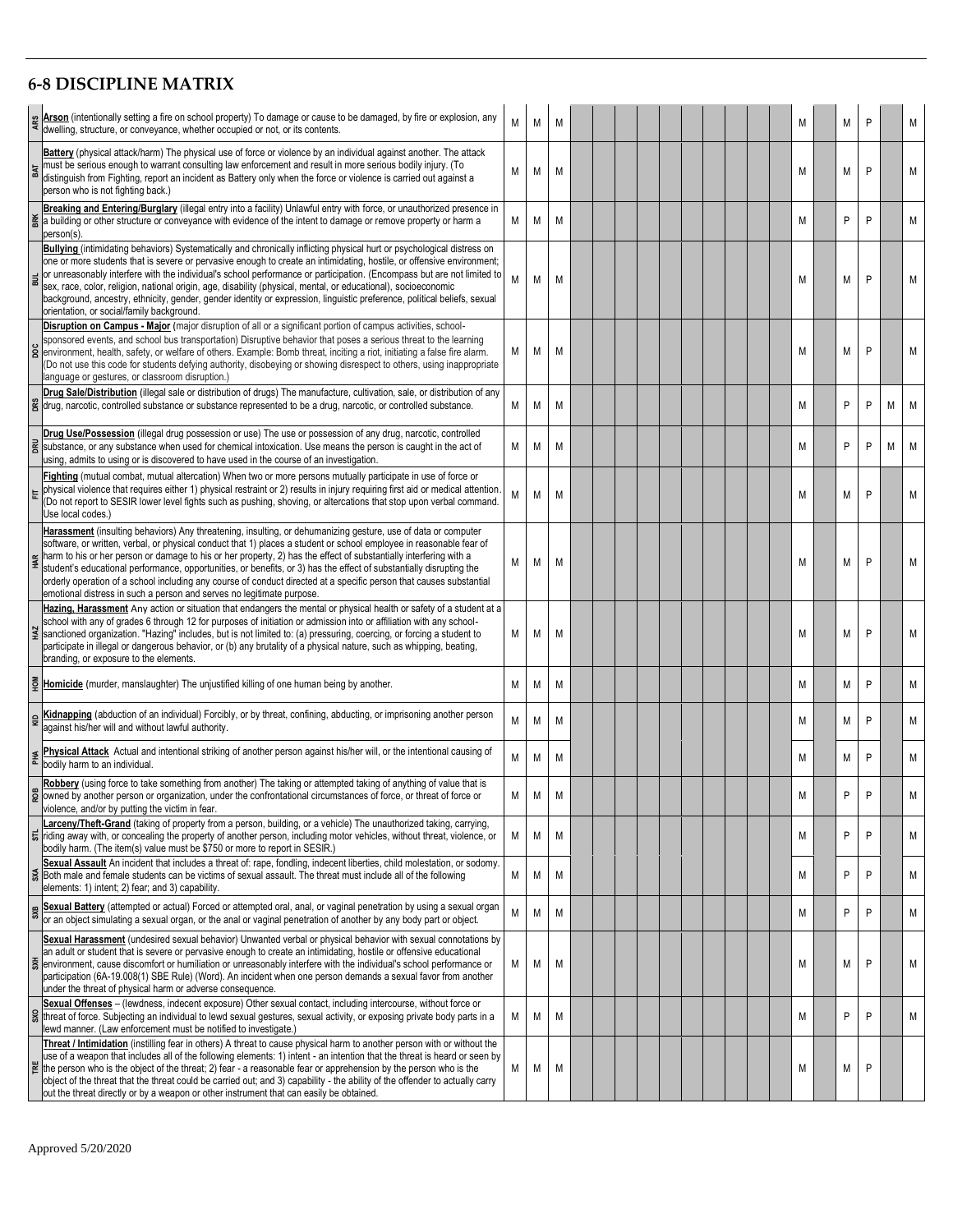## **6 -8 DISCIPLINE MATRIX**

|     | Arson (intentionally setting a fire on school property) To damage or cause to be damaged, by fire or explosion, any<br>dwelling, structure, or conveyance, whether occupied or not, or its contents.                                                                                                                                                                                                                                                                                                                                                                                                                                                                             | M | M | M |  |  |  |  |  | M          | M | P |   | M |
|-----|----------------------------------------------------------------------------------------------------------------------------------------------------------------------------------------------------------------------------------------------------------------------------------------------------------------------------------------------------------------------------------------------------------------------------------------------------------------------------------------------------------------------------------------------------------------------------------------------------------------------------------------------------------------------------------|---|---|---|--|--|--|--|--|------------|---|---|---|---|
| BAT | <b>Battery</b> (physical attack/harm) The physical use of force or violence by an individual against another. The attack<br>must be serious enough to warrant consulting law enforcement and result in more serious bodily injury. (To<br>distinguish from Fighting, report an incident as Battery only when the force or violence is carried out against a<br>person who is not fighting back.)                                                                                                                                                                                                                                                                                 | M | M | M |  |  |  |  |  | M          | M | P |   | M |
| BК  | Breaking and Entering/Burglary (illegal entry into a facility) Unlawful entry with force, or unauthorized presence in<br>a building or other structure or conveyance with evidence of the intent to damage or remove property or harm a<br>person(s)                                                                                                                                                                                                                                                                                                                                                                                                                             | M | M | М |  |  |  |  |  | M          | P | P |   | М |
|     | <b>Bullying</b> (intimidating behaviors) Systematically and chronically inflicting physical hurt or psychological distress on<br>one or more students that is severe or pervasive enough to create an intimidating, hostile, or offensive environment;<br>or unreasonably interfere with the individual's school performance or participation. (Encompass but are not limited to<br>sex, race, color, religion, national origin, age, disability (physical, mental, or educational), socioeconomic<br>background, ancestry, ethnicity, gender, gender identity or expression, linguistic preference, political beliefs, sexual<br>orientation, or social/family background.      | M | M | M |  |  |  |  |  | M          | М | P |   | M |
| poc | Disruption on Campus - Major (major disruption of all or a significant portion of campus activities, school-<br>sponsored events, and school bus transportation) Disruptive behavior that poses a serious threat to the learning<br>environment, health, safety, or welfare of others. Example: Bomb threat, inciting a riot, initiating a false fire alarm.<br>(Do not use this code for students defying authority, disobeying or showing disrespect to others, using inappropriate<br>language or gestures, or classroom disruption.)                                                                                                                                         | М | M | M |  |  |  |  |  | M          | М | P |   | M |
| š   | Drug Sale/Distribution (illegal sale or distribution of drugs) The manufacture, cultivation, sale, or distribution of any<br>drug, narcotic, controlled substance or substance represented to be a drug, narcotic, or controlled substance.                                                                                                                                                                                                                                                                                                                                                                                                                                      | М | M | M |  |  |  |  |  | M          | P | P | M | M |
| g   | Drug Use/Possession (illegal drug possession or use) The use or possession of any drug, narcotic, controlled<br>substance, or any substance when used for chemical intoxication. Use means the person is caught in the act of<br>using, admits to using or is discovered to have used in the course of an investigation.                                                                                                                                                                                                                                                                                                                                                         | М | M | M |  |  |  |  |  | M          | P | P | M | M |
|     | Fighting (mutual combat, mutual altercation) When two or more persons mutually participate in use of force or<br>physical violence that requires either 1) physical restraint or 2) results in injury requiring first aid or medical attention<br>(Do not report to SESIR lower level fights such as pushing, shoving, or altercations that stop upon verbal command.<br>Use local codes.)                                                                                                                                                                                                                                                                                       | М | M | M |  |  |  |  |  | M          | M | P |   | M |
|     | Harassment (insulting behaviors) Any threatening, insulting, or dehumanizing gesture, use of data or computer<br>software, or written, verbal, or physical conduct that 1) places a student or school employee in reasonable fear of<br>harm to his or her person or damage to his or her property, 2) has the effect of substantially interfering with a<br>student's educational performance, opportunities, or benefits, or 3) has the effect of substantially disrupting the<br>orderly operation of a school including any course of conduct directed at a specific person that causes substantial<br>emotional distress in such a person and serves no legitimate purpose. | М | M | M |  |  |  |  |  | M          | M | P |   | M |
|     | Hazing, Harassment Any action or situation that endangers the mental or physical health or safety of a student at a<br>school with any of grades 6 through 12 for purposes of initiation or admission into or affiliation with any school-<br>sanctioned organization. "Hazing" includes, but is not limited to: (a) pressuring, coercing, or forcing a student to<br>participate in illegal or dangerous behavior, or (b) any brutality of a physical nature, such as whipping, beating,<br>branding, or exposure to the elements.                                                                                                                                              | М | M | M |  |  |  |  |  | M          | М | P |   | M |
|     | Homicide (murder, manslaughter) The unjustified killing of one human being by another.                                                                                                                                                                                                                                                                                                                                                                                                                                                                                                                                                                                           | M | M | M |  |  |  |  |  | M          | М | P |   | M |
|     | Kidnapping (abduction of an individual) Forcibly, or by threat, confining, abducting, or imprisoning another person<br>against his/her will and without lawful authority.                                                                                                                                                                                                                                                                                                                                                                                                                                                                                                        | M | M | M |  |  |  |  |  | M          | M | P |   | M |
| ЯH  | Physical Attack Actual and intentional striking of another person against his/her will, or the intentional causing of<br>bodily harm to an individual.                                                                                                                                                                                                                                                                                                                                                                                                                                                                                                                           | М | M | M |  |  |  |  |  | M          | M | P |   | М |
| œ   | Robbery (using force to take something from another) The taking or attempted taking of anything of value that is<br>owned by another person or organization, under the confrontational circumstances of force, or threat of force or<br>violence, and/or by putting the victim in fear.                                                                                                                                                                                                                                                                                                                                                                                          | M | M |   |  |  |  |  |  | <b>IVI</b> | P | Þ |   |   |
|     | arceny/Theft-Grand (taking of property from a person, building, or a vehicle) The unauthorized taking, carrying,<br>riding away with, or concealing the property of another person, including motor vehicles, without threat, violence, or<br>bodily harm. (The item(s) value must be \$750 or more to report in SESIR.)                                                                                                                                                                                                                                                                                                                                                         | М | M | M |  |  |  |  |  | M          | P | P |   | M |
| SXA | Sexual Assault An incident that includes a threat of: rape, fondling, indecent liberties, child molestation, or sodomy.<br>Both male and female students can be victims of sexual assault. The threat must include all of the following<br>elements: 1) intent; 2) fear; and 3) capability.                                                                                                                                                                                                                                                                                                                                                                                      | М | M | M |  |  |  |  |  | M          | P | P |   | М |
| SXB | Sexual Battery (attempted or actual) Forced or attempted oral, anal, or vaginal penetration by using a sexual organ<br>or an object simulating a sexual organ, or the anal or vaginal penetration of another by any body part or object.                                                                                                                                                                                                                                                                                                                                                                                                                                         | M | M | M |  |  |  |  |  | M          | P | P |   | M |
| šЖ  | Sexual Harassment (undesired sexual behavior) Unwanted verbal or physical behavior with sexual connotations by<br>an adult or student that is severe or pervasive enough to create an intimidating, hostile or offensive educational<br>environment, cause discomfort or humiliation or unreasonably interfere with the individual's school performance or<br>participation (6A-19.008(1) SBE Rule) (Word). An incident when one person demands a sexual favor from another<br>under the threat of physical harm or adverse consequence.                                                                                                                                         | М | M | M |  |  |  |  |  | M          | М | P |   | M |
| SXO | Sexual Offenses - (lewdness, indecent exposure) Other sexual contact, including intercourse, without force or<br>threat of force. Subjecting an individual to lewd sexual gestures, sexual activity, or exposing private body parts in a<br>lewd manner. (Law enforcement must be notified to investigate.)                                                                                                                                                                                                                                                                                                                                                                      | М | M | M |  |  |  |  |  | M          | P | P |   | М |
| 뷭   | Threat / Intimidation (instilling fear in others) A threat to cause physical harm to another person with or without the<br>use of a weapon that includes all of the following elements: 1) intent - an intention that the threat is heard or seen by<br>the person who is the object of the threat; 2) fear - a reasonable fear or apprehension by the person who is the<br>object of the threat that the threat could be carried out; and 3) capability - the ability of the offender to actually carry<br>out the threat directly or by a weapon or other instrument that can easily be obtained.                                                                              | М | M | М |  |  |  |  |  | M          | М | P |   |   |
|     | Approved 5/20/2020                                                                                                                                                                                                                                                                                                                                                                                                                                                                                                                                                                                                                                                               |   |   |   |  |  |  |  |  |            |   |   |   |   |